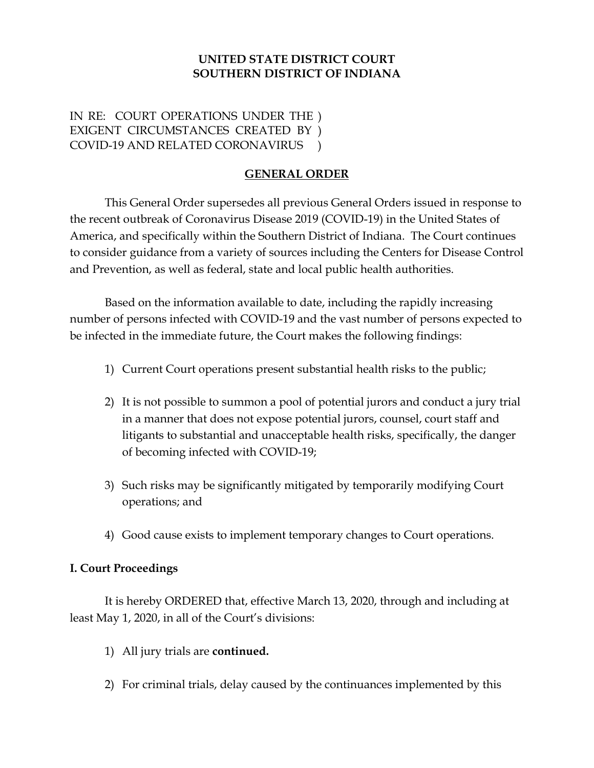### **UNITED STATE DISTRICT COURT SOUTHERN DISTRICT OF INDIANA**

IN RE: COURT OPERATIONS UNDER THE ) EXIGENT CIRCUMSTANCES CREATED BY ) COVID-19 AND RELATED CORONAVIRUS )

# **GENERAL ORDER**

This General Order supersedes all previous General Orders issued in response to the recent outbreak of Coronavirus Disease 2019 (COVID-19) in the United States of America, and specifically within the Southern District of Indiana. The Court continues to consider guidance from a variety of sources including the Centers for Disease Control and Prevention, as well as federal, state and local public health authorities.

Based on the information available to date, including the rapidly increasing number of persons infected with COVID-19 and the vast number of persons expected to be infected in the immediate future, the Court makes the following findings:

- 1) Current Court operations present substantial health risks to the public;
- 2) It is not possible to summon a pool of potential jurors and conduct a jury trial in a manner that does not expose potential jurors, counsel, court staff and litigants to substantial and unacceptable health risks, specifically, the danger of becoming infected with COVID-19;
- 3) Such risks may be significantly mitigated by temporarily modifying Court operations; and
- 4) Good cause exists to implement temporary changes to Court operations.

#### **I. Court Proceedings**

It is hereby ORDERED that, effective March 13, 2020, through and including at least May 1, 2020, in all of the Court's divisions:

- 1) All jury trials are **continued.**
- 2) For criminal trials, delay caused by the continuances implemented by this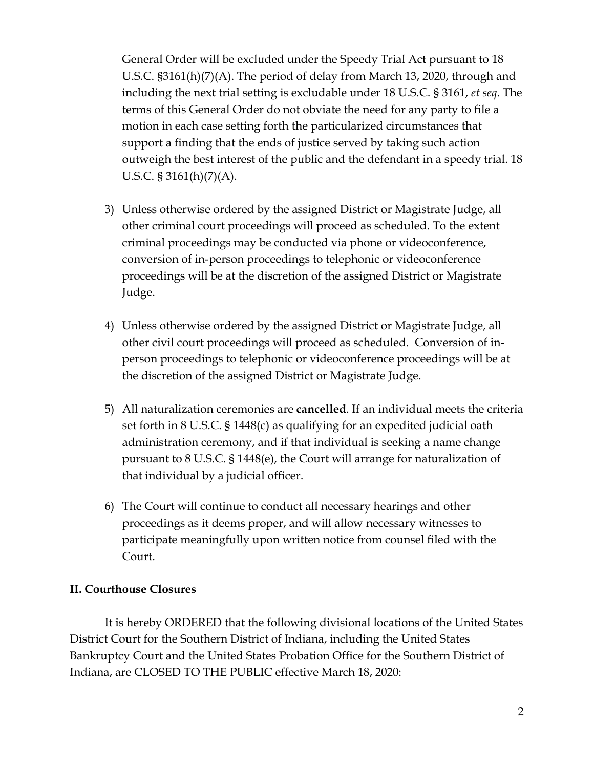General Order will be excluded under the Speedy Trial Act pursuant to 18 U.S.C. §3161(h)(7)(A). The period of delay from March 13, 2020, through and including the next trial setting is excludable under 18 U.S.C. § 3161, *et seq*. The terms of this General Order do not obviate the need for any party to file a motion in each case setting forth the particularized circumstances that support a finding that the ends of justice served by taking such action outweigh the best interest of the public and the defendant in a speedy trial. 18 U.S.C. § 3161(h)(7)(A).

- 3) Unless otherwise ordered by the assigned District or Magistrate Judge, all other criminal court proceedings will proceed as scheduled. To the extent criminal proceedings may be conducted via phone or videoconference, conversion of in-person proceedings to telephonic or videoconference proceedings will be at the discretion of the assigned District or Magistrate Judge.
- 4) Unless otherwise ordered by the assigned District or Magistrate Judge, all other civil court proceedings will proceed as scheduled. Conversion of inperson proceedings to telephonic or videoconference proceedings will be at the discretion of the assigned District or Magistrate Judge.
- 5) All naturalization ceremonies are **cancelled**. If an individual meets the criteria set forth in 8 U.S.C. § 1448(c) as qualifying for an expedited judicial oath administration ceremony, and if that individual is seeking a name change pursuant to 8 U.S.C. § 1448(e), the Court will arrange for naturalization of that individual by a judicial officer.
- 6) The Court will continue to conduct all necessary hearings and other proceedings as it deems proper, and will allow necessary witnesses to participate meaningfully upon written notice from counsel filed with the Court.

# **II. Courthouse Closures**

It is hereby ORDERED that the following divisional locations of the United States District Court for the Southern District of Indiana, including the United States Bankruptcy Court and the United States Probation Office for the Southern District of Indiana, are CLOSED TO THE PUBLIC effective March 18, 2020: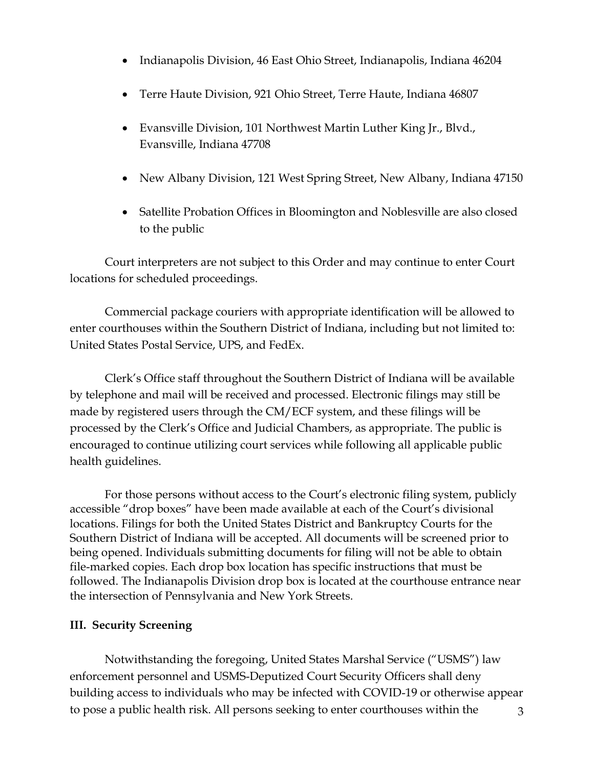- Indianapolis Division, 46 East Ohio Street, Indianapolis, Indiana 46204
- Terre Haute Division, 921 Ohio Street, Terre Haute, Indiana 46807
- Evansville Division, 101 Northwest Martin Luther King Jr., Blvd., Evansville, Indiana 47708
- New Albany Division, 121 West Spring Street, New Albany, Indiana 47150
- Satellite Probation Offices in Bloomington and Noblesville are also closed to the public

Court interpreters are not subject to this Order and may continue to enter Court locations for scheduled proceedings.

Commercial package couriers with appropriate identification will be allowed to enter courthouses within the Southern District of Indiana, including but not limited to: United States Postal Service, UPS, and FedEx.

Clerk's Office staff throughout the Southern District of Indiana will be available by telephone and mail will be received and processed. Electronic filings may still be made by registered users through the CM/ECF system, and these filings will be processed by the Clerk's Office and Judicial Chambers, as appropriate. The public is encouraged to continue utilizing court services while following all applicable public health guidelines.

For those persons without access to the Court's electronic filing system, publicly accessible "drop boxes" have been made available at each of the Court's divisional locations. Filings for both the United States District and Bankruptcy Courts for the Southern District of Indiana will be accepted. All documents will be screened prior to being opened. Individuals submitting documents for filing will not be able to obtain file-marked copies. Each drop box location has specific instructions that must be followed. The Indianapolis Division drop box is located at the courthouse entrance near the intersection of Pennsylvania and New York Streets.

# **III. Security Screening**

3 Notwithstanding the foregoing, United States Marshal Service ("USMS") law enforcement personnel and USMS-Deputized Court Security Officers shall deny building access to individuals who may be infected with COVID-19 or otherwise appear to pose a public health risk. All persons seeking to enter courthouses within the